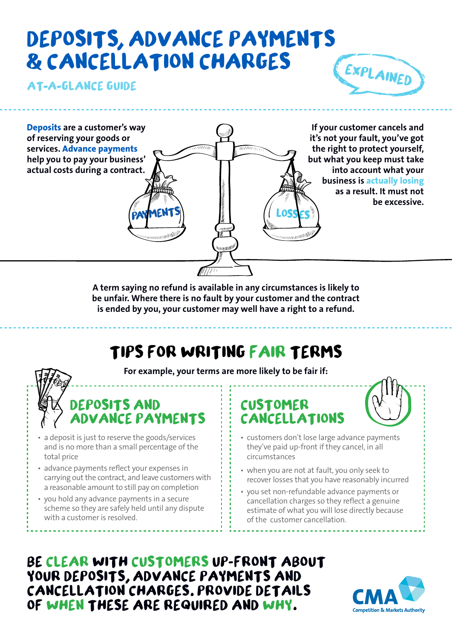# **DEPOSITS ADVANCE PAYMENTS CANCELLATION CHARGES**

**AT A GLANCE GUIDE**





**A term saying no refund is available in any circumstances is likely to be unfair. Where there is no fault by your customer and the contract is ended by you, your customer may well have a right to a refund.**

## **TIPS FOR WRITING FAIR TERMS**

**For example, your terms are more likely to be fair if:**

## **DEPOSITS AND ADVANCE PAYMENTS**

- a deposit is just to reserve the goods/services and is no more than a small percentage of the total price
- advance payments reflect your expenses in carrying out the contract, and leave customers with a reasonable amount to still pay on completion
- you hold any advance payments in a secure scheme so they are safely held until any dispute with a customer is resolved.

### **CUSTOMER CANCELLATIONS**



- customers don't lose large advance payments they've paid up-front if they cancel, in all circumstances
- when you are not at fault, you only seek to recover losses that you have reasonably incurred
- • you set non-refundable advance payments or cancellation charges so they reflect a genuine estimate of what you will lose directly because of the customer cancellation.

**BE CLEAR WITH CUSTOMERS UP FRONT ABOUT**  YOUR DEPOSITS, ADVANCE PAYMENTS AND **CANCELLATION CHARGES PROVIDE DETAILS OF WHEN THESE ARE REQUIRED AND WHY**